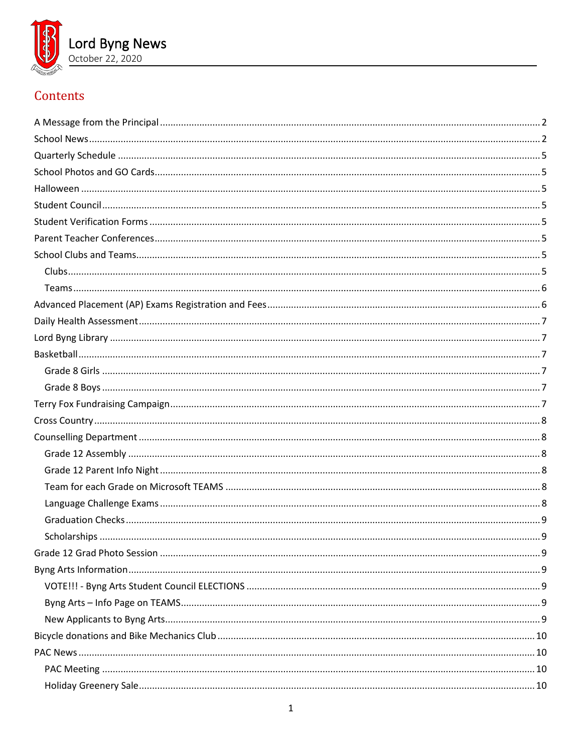

# Contents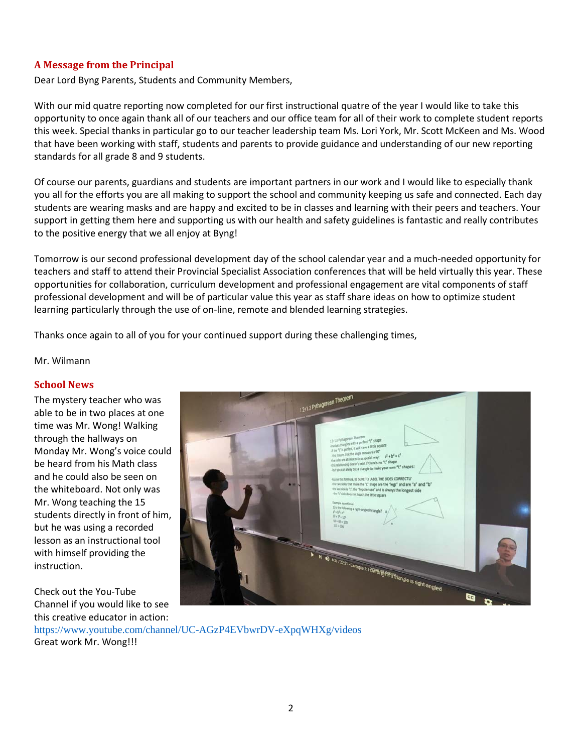## <span id="page-1-0"></span>**A Message from the Principal**

Dear Lord Byng Parents, Students and Community Members,

With our mid quatre reporting now completed for our first instructional quatre of the year I would like to take this opportunity to once again thank all of our teachers and our office team for all of their work to complete student reports this week. Special thanks in particular go to our teacher leadership team Ms. Lori York, Mr. Scott McKeen and Ms. Wood that have been working with staff, students and parents to provide guidance and understanding of our new reporting standards for all grade 8 and 9 students.

Of course our parents, guardians and students are important partners in our work and I would like to especially thank you all for the efforts you are all making to support the school and community keeping us safe and connected. Each day students are wearing masks and are happy and excited to be in classes and learning with their peers and teachers. Your support in getting them here and supporting us with our health and safety guidelines is fantastic and really contributes to the positive energy that we all enjoy at Byng!

Tomorrow is our second professional development day of the school calendar year and a much-needed opportunity for teachers and staff to attend their Provincial Specialist Association conferences that will be held virtually this year. These opportunities for collaboration, curriculum development and professional engagement are vital components of staff professional development and will be of particular value this year as staff share ideas on how to optimize student learning particularly through the use of on-line, remote and blended learning strategies.

Thanks once again to all of you for your continued support during these challenging times,

#### <span id="page-1-1"></span>Mr. Wilmann

#### **School News**

The mystery teacher who was able to be in two places at one time was Mr. Wong! Walking through the hallways on Monday Mr. Wong's voice could be heard from his Math class and he could also be seen on the whiteboard. Not only was Mr. Wong teaching the 15 students directly in front of him, but he was using a recorded lesson as an instructional tool with himself providing the instruction.

Check out the You-Tube Channel if you would like to see this creative educator in action: https://www.youtube.com/channel/UC-AGzP4EVbwrDV-eXpqWHXg/videos Great work Mr. Wong!!!

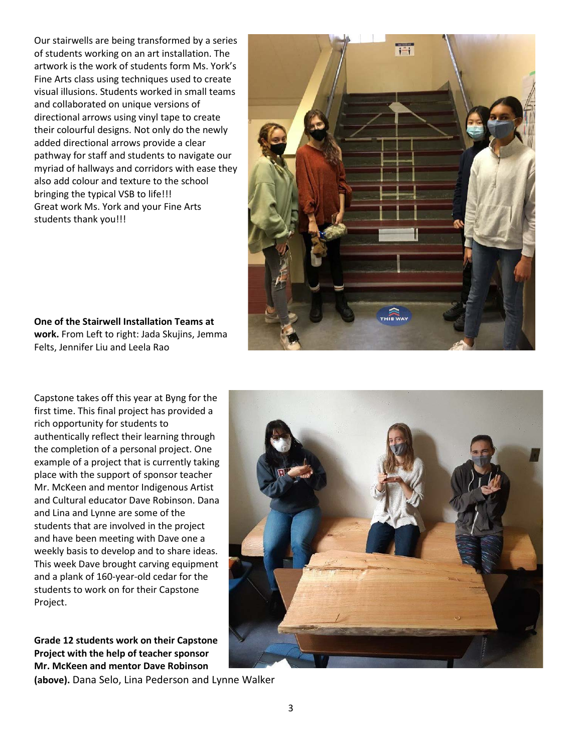Our stairwells are being transformed by a series of students working on an art installation. The artwork is the work of students form Ms. York's Fine Arts class using techniques used to create visual illusions. Students worked in small teams and collaborated on unique versions of directional arrows using vinyl tape to create their colourful designs. Not only do the newly added directional arrows provide a clear pathway for staff and students to navigate our myriad of hallways and corridors with ease they also add colour and texture to the school bringing the typical VSB to life!!! Great work Ms. York and your Fine Arts students thank you!!!



**One of the Stairwell Installation Teams at work.** From Left to right: Jada Skujins, Jemma Felts, Jennifer Liu and Leela Rao

Capstone takes off this year at Byng for the first time. This final project has provided a rich opportunity for students to authentically reflect their learning through the completion of a personal project. One example of a project that is currently taking place with the support of sponsor teacher Mr. McKeen and mentor Indigenous Artist and Cultural educator Dave Robinson. Dana and Lina and Lynne are some of the students that are involved in the project and have been meeting with Dave one a weekly basis to develop and to share ideas. This week Dave brought carving equipment and a plank of 160-year-old cedar for the students to work on for their Capstone Project.

**Grade 12 students work on their Capstone Project with the help of teacher sponsor Mr. McKeen and mentor Dave Robinson** 

**(above).** Dana Selo, Lina Pederson and Lynne Walker

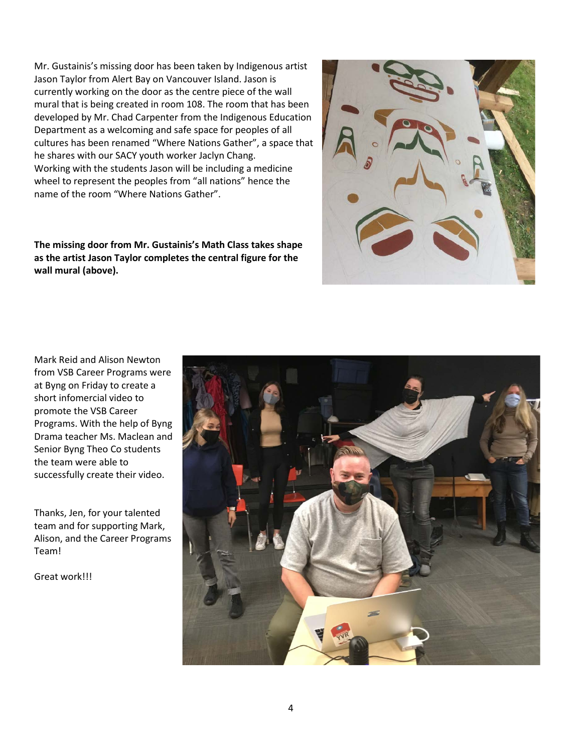Mr. Gustainis's missing door has been taken by Indigenous artist Jason Taylor from Alert Bay on Vancouver Island. Jason is currently working on the door as the centre piece of the wall mural that is being created in room 108. The room that has been developed by Mr. Chad Carpenter from the Indigenous Education Department as a welcoming and safe space for peoples of all cultures has been renamed "Where Nations Gather", a space that he shares with our SACY youth worker Jaclyn Chang. Working with the students Jason will be including a medicine wheel to represent the peoples from "all nations" hence the name of the room "Where Nations Gather".

**The missing door from Mr. Gustainis's Math Class takes shape as the artist Jason Taylor completes the central figure for the wall mural (above).**



Mark Reid and Alison Newton from VSB Career Programs were at Byng on Friday to create a short infomercial video to promote the VSB Career Programs. With the help of Byng Drama teacher Ms. Maclean and Senior Byng Theo Co students the team were able to successfully create their video.

Thanks, Jen, for your talented team and for supporting Mark, Alison, and the Career Programs Team!

Great work!!!

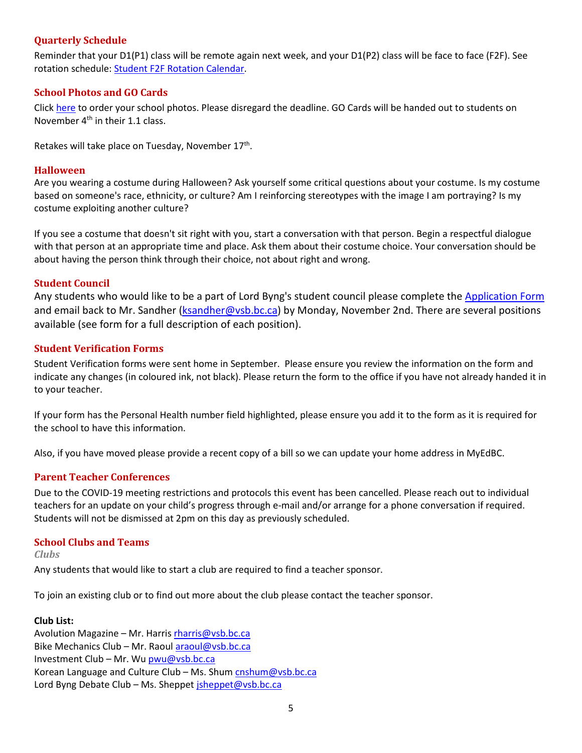## <span id="page-4-0"></span>**Quarterly Schedule**

Reminder that your D1(P1) class will be remote again next week, and your D1(P2) class will be face to face (F2F). See rotation schedule: [Student F2F Rotation Calendar.](https://www.vsb.bc.ca/repository/SBAttachments/8e11130a-23bc-4157-9294-1c252018cc4d_STUDENTF2FandRemoteBlockCalendar2020-2021.pdf)

#### <span id="page-4-1"></span>**School Photos and GO Cards**

Click [here](https://artona.com/schools/BYNG/programs/school_photo) to order your school photos. Please disregard the deadline. GO Cards will be handed out to students on November  $4<sup>th</sup>$  in their 1.1 class.

<span id="page-4-2"></span>Retakes will take place on Tuesday, November 17<sup>th</sup>.

#### **Halloween**

Are you wearing a costume during Halloween? Ask yourself some critical questions about your costume. Is my costume based on someone's race, ethnicity, or culture? Am I reinforcing stereotypes with the image I am portraying? Is my costume exploiting another culture?

If you see a costume that doesn't sit right with you, start a conversation with that person. Begin a respectful dialogue with that person at an appropriate time and place. Ask them about their costume choice. Your conversation should be about having the person think through their choice, not about right and wrong.

#### <span id="page-4-3"></span>**Student Council**

Any students who would like to be a part of Lord Byng's student council please complete the [Application Form](https://www.vsb.bc.ca/schools/lord-byng/Guidance-and-Support/Student-Council/Documents/sbfile/201021/Student%20Council%20grade%20rep%20application%202020_1.pdf) and email back to Mr. Sandher [\(ksandher@vsb.bc.ca\)](mailto:ksandher@vsb.bc.ca) by Monday, November 2nd. There are several positions available (see form for a full description of each position).

#### <span id="page-4-4"></span>**Student Verification Forms**

Student Verification forms were sent home in September. Please ensure you review the information on the form and indicate any changes (in coloured ink, not black). Please return the form to the office if you have not already handed it in to your teacher.

If your form has the Personal Health number field highlighted, please ensure you add it to the form as it is required for the school to have this information.

<span id="page-4-5"></span>Also, if you have moved please provide a recent copy of a bill so we can update your home address in MyEdBC.

#### **Parent Teacher Conferences**

Due to the COVID-19 meeting restrictions and protocols this event has been cancelled. Please reach out to individual teachers for an update on your child's progress through e-mail and/or arrange for a phone conversation if required. Students will not be dismissed at 2pm on this day as previously scheduled.

#### <span id="page-4-6"></span>**School Clubs and Teams**

<span id="page-4-7"></span>*Clubs*

Any students that would like to start a club are required to find a teacher sponsor.

To join an existing club or to find out more about the club please contact the teacher sponsor.

#### **Club List:**

Avolution Magazine – Mr. Harris [rharris@vsb.bc.ca](mailto:rharris@vsb.bc.ca) Bike Mechanics Club – Mr. Raou[l araoul@vsb.bc.ca](mailto:araoul@vsb.bc.ca) Investment Club – Mr. Wu [pwu@vsb.bc.ca](mailto:pwu@vsb.bc.ca) Korean Language and Culture Club – Ms. Shum [cnshum@vsb.bc.ca](mailto:cnshum@vsb.bc.ca) Lord Byng Debate Club - Ms. Sheppe[t jsheppet@vsb.bc.ca](mailto:jsheppet@vsb.bc.ca)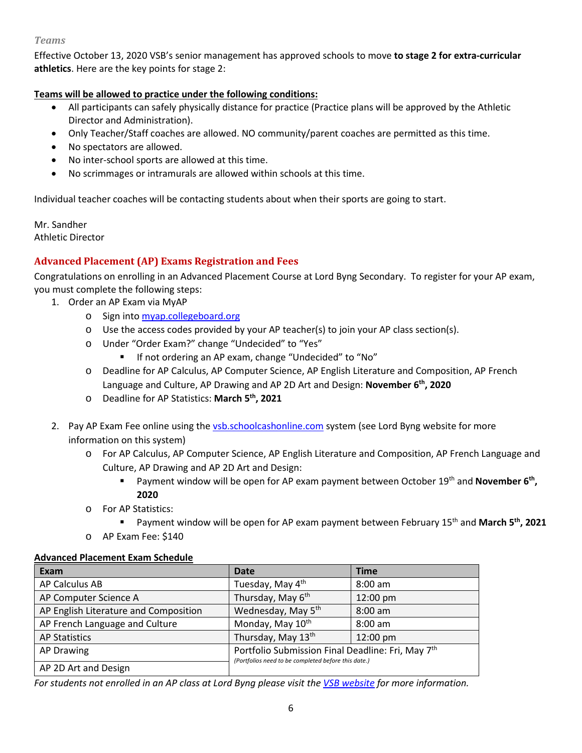#### <span id="page-5-0"></span>*Teams*

Effective October 13, 2020 VSB's senior management has approved schools to move **to stage 2 for extra-curricular athletics**. Here are the key points for stage 2:

## **Teams will be allowed to practice under the following conditions:**

- All participants can safely physically distance for practice (Practice plans will be approved by the Athletic Director and Administration).
- Only Teacher/Staff coaches are allowed. NO community/parent coaches are permitted as this time.
- No spectators are allowed.
- No inter-school sports are allowed at this time.
- No scrimmages or intramurals are allowed within schools at this time.

Individual teacher coaches will be contacting students about when their sports are going to start.

Mr. Sandher Athletic Director

## <span id="page-5-1"></span>**Advanced Placement (AP) Exams Registration and Fees**

Congratulations on enrolling in an Advanced Placement Course at Lord Byng Secondary. To register for your AP exam, you must complete the following steps:

- 1. Order an AP Exam via MyAP
	- o Sign into [myap.collegeboard.org](https://myap.collegeboard.org/login)
	- o Use the access codes provided by your AP teacher(s) to join your AP class section(s).
	- o Under "Order Exam?" change "Undecided" to "Yes"
		- **If not ordering an AP exam, change "Undecided" to "No"**
	- o Deadline for AP Calculus, AP Computer Science, AP English Literature and Composition, AP French Language and Culture, AP Drawing and AP 2D Art and Design: **November 6th, 2020**
	- o Deadline for AP Statistics: **March 5th, 2021**
- 2. Pay AP Exam Fee online using the [vsb.schoolcashonline.com](https://vsb.schoolcashonline.com/) system (see Lord Byng website for more information on this system)
	- o For AP Calculus, AP Computer Science, AP English Literature and Composition, AP French Language and Culture, AP Drawing and AP 2D Art and Design:
		- Payment window will be open for AP exam payment between October 19<sup>th</sup> and **November 6<sup>th</sup>**, **2020**
	- o For AP Statistics:
		- Payment window will be open for AP exam payment between February 15<sup>th</sup> and March 5<sup>th</sup>, 2021
	- o AP Exam Fee: \$140

#### **Advanced Placement Exam Schedule**

| Exam                                  | <b>Date</b>                                                                                              | <b>Time</b> |
|---------------------------------------|----------------------------------------------------------------------------------------------------------|-------------|
| AP Calculus AB                        | Tuesday, May 4th                                                                                         | $8:00$ am   |
| AP Computer Science A                 | Thursday, May 6th                                                                                        | 12:00 pm    |
| AP English Literature and Composition | Wednesday, May 5 <sup>th</sup>                                                                           | 8:00 am     |
| AP French Language and Culture        | Monday, May 10 <sup>th</sup>                                                                             | $8:00$ am   |
| <b>AP Statistics</b>                  | Thursday, May 13th                                                                                       | 12:00 pm    |
| <b>AP Drawing</b>                     | Portfolio Submission Final Deadline: Fri, May 7th<br>(Portfolios need to be completed before this date.) |             |
| AP 2D Art and Design                  |                                                                                                          |             |

*For students not enrolled in an AP class at Lord Byng please visit the [VSB website](https://www.vsb.bc.ca/Student_Learning/Secondary/Advanced_Placement_Exams/Pages/Default.aspx) for more information.*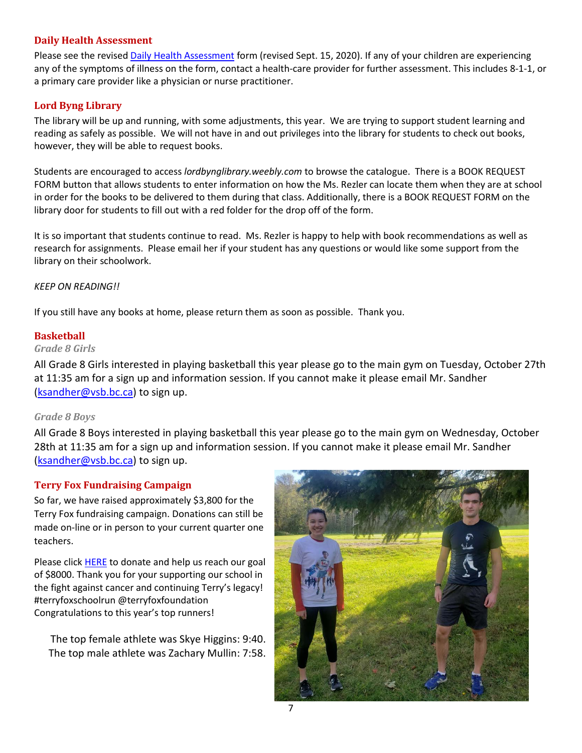#### <span id="page-6-0"></span>**Daily Health Assessment**

Please see the revised [Daily Health Assessment](https://www.vsb.bc.ca/repository/SBAttachments/8e11130a-23bc-4157-9294-1c252018cc4d_DailyHealthAssessment-Student_Sept15003.pdf) form (revised Sept. 15, 2020). If any of your children are experiencing any of the symptoms of illness on the form, contact a health-care provider for further assessment. This includes 8-1-1, or a primary care provider like a physician or nurse practitioner.

## <span id="page-6-1"></span>**Lord Byng Library**

The library will be up and running, with some adjustments, this year. We are trying to support student learning and reading as safely as possible. We will not have in and out privileges into the library for students to check out books, however, they will be able to request books.

Students are encouraged to access *lordbynglibrary.weebly.com* to browse the catalogue. There is a BOOK REQUEST FORM button that allows students to enter information on how the Ms. Rezler can locate them when they are at school in order for the books to be delivered to them during that class. Additionally, there is a BOOK REQUEST FORM on the library door for students to fill out with a red folder for the drop off of the form.

It is so important that students continue to read. Ms. Rezler is happy to help with book recommendations as well as research for assignments. Please email her if your student has any questions or would like some support from the library on their schoolwork.

#### *KEEP ON READING!!*

<span id="page-6-2"></span>If you still have any books at home, please return them as soon as possible. Thank you.

#### **Basketball**

#### <span id="page-6-3"></span>*Grade 8 Girls*

All Grade 8 Girls interested in playing basketball this year please go to the main gym on Tuesday, October 27th at 11:35 am for a sign up and information session. If you cannot make it please email Mr. Sandher [\(ksandher@vsb.bc.ca\)](mailto:ksandher@vsb.bc.ca) to sign up.

#### <span id="page-6-4"></span>*Grade 8 Boys*

All Grade 8 Boys interested in playing basketball this year please go to the main gym on Wednesday, October 28th at 11:35 am for a sign up and information session. If you cannot make it please email Mr. Sandher [\(ksandher@vsb.bc.ca\)](mailto:ksandher@vsb.bc.ca) to sign up.

## <span id="page-6-5"></span>**Terry Fox Fundraising Campaign**

So far, we have raised approximately \$3,800 for the Terry Fox fundraising campaign. Donations can still be made on-line or in person to your current quarter one teachers.

Please click [HERE](https://secure.terryfox.ca/registrant/TeamFundraisingPage.aspx?TeamID=915903) to donate and help us reach our goal of \$8000. Thank you for your supporting our school in the fight against cancer and continuing Terry's legacy! #terryfoxschoolrun @terryfoxfoundation Congratulations to this year's top runners!

The top female athlete was Skye Higgins: 9:40. The top male athlete was Zachary Mullin: 7:58.

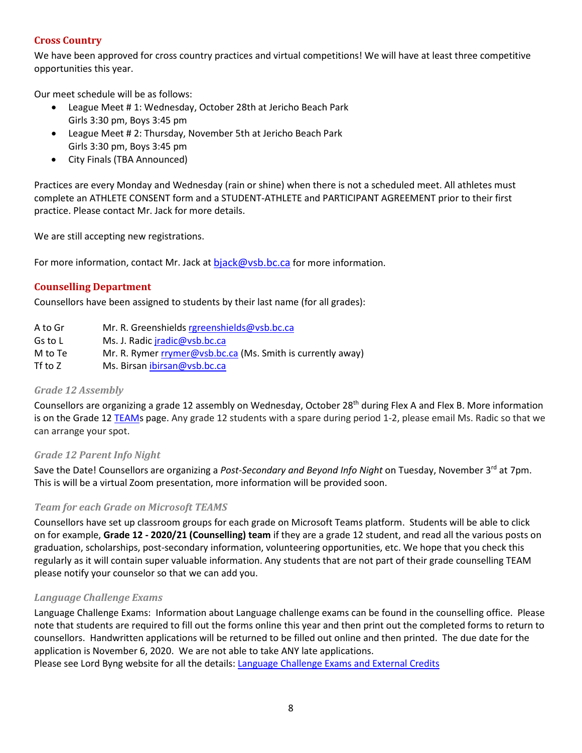## <span id="page-7-0"></span>**Cross Country**

We have been approved for cross country practices and virtual competitions! We will have at least three competitive opportunities this year.

Our meet schedule will be as follows:

- League Meet # 1: Wednesday, October 28th at Jericho Beach Park Girls 3:30 pm, Boys 3:45 pm
- League Meet # 2: Thursday, November 5th at Jericho Beach Park Girls 3:30 pm, Boys 3:45 pm
- City Finals (TBA Announced)

Practices are every Monday and Wednesday (rain or shine) when there is not a scheduled meet. All athletes must complete an ATHLETE CONSENT form and a STUDENT-ATHLETE and PARTICIPANT AGREEMENT prior to their first practice. Please contact Mr. Jack for more details.

We are still accepting new registrations.

<span id="page-7-1"></span>For more information, contact Mr. Jack at [bjack@vsb.bc.ca](mailto:bjack@vsb.bc.ca) for more information.

## **Counselling Department**

Counsellors have been assigned to students by their last name (for all grades):

| A to Gr   | Mr. R. Greenshields rgreenshields@vsb.bc.ca                 |
|-----------|-------------------------------------------------------------|
| Gs to L   | Ms. J. Radic jradic@vsb.bc.ca                               |
| M to Te   | Mr. R. Rymer rrymer@vsb.bc.ca (Ms. Smith is currently away) |
| Tf to $Z$ | Ms. Birsan ibirsan@vsb.bc.ca                                |

## <span id="page-7-2"></span>*Grade 12 Assembly*

Counsellors are organizing a grade 12 assembly on Wednesday, October  $28<sup>th</sup>$  during Flex A and Flex B. More information is on the Grade 12 [TEAMs](https://teams.microsoft.com/l/channel/19%3ae7e4fec8cb2e4292b0ddc74d3dbca036%40thread.tacv2/General?groupId=1a3c2e10-7b6c-46ac-8286-7f303f1e4397&tenantId=0b8a2e58-7b30-4a08-bab7-d75559e0e3a5) page. Any grade 12 students with a spare during period 1-2, please email Ms. Radic so that we can arrange your spot.

## <span id="page-7-3"></span>*Grade 12 Parent Info Night*

Save the Date! Counsellors are organizing a *Post-Secondary and Beyond Info Night* on Tuesday, November 3rd at 7pm. This is will be a virtual Zoom presentation, more information will be provided soon.

## <span id="page-7-4"></span>*Team for each Grade on Microsoft TEAMS*

Counsellors have set up classroom groups for each grade on Microsoft Teams platform. Students will be able to click on for example, **Grade 12 - 2020/21 (Counselling) team** if they are a grade 12 student, and read all the various posts on graduation, scholarships, post-secondary information, volunteering opportunities, etc. We hope that you check this regularly as it will contain super valuable information. Any students that are not part of their grade counselling TEAM please notify your counselor so that we can add you.

## <span id="page-7-5"></span>*Language Challenge Exams*

Language Challenge Exams: Information about Language challenge exams can be found in the counselling office. Please note that students are required to fill out the forms online this year and then print out the completed forms to return to counsellors. Handwritten applications will be returned to be filled out online and then printed. The due date for the application is November 6, 2020. We are not able to take ANY late applications.

Please see Lord Byng website for all the details: [Language Challenge Exams and External Credits](https://www.vsb.bc.ca/schools/lord-byng/Teaching-and-Learning/Classes-and-Departments/Counselling/Pages/Language-Challenge-Exams-and-External-Credits.aspx?rf=830e511d-a1a4-4faf-99d0-28b1736820df)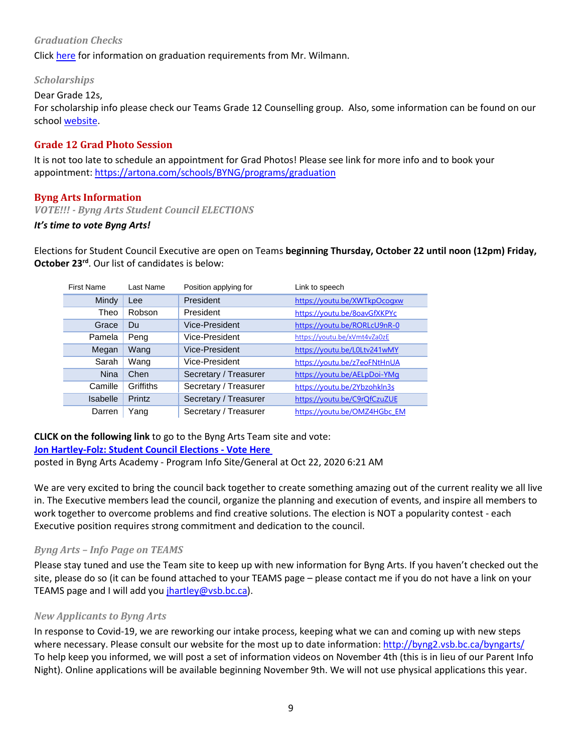## <span id="page-8-0"></span>*Graduation Checks*

<span id="page-8-1"></span>Click [here](https://www.vsb.bc.ca/schools/lord-byng/Guidance-and-Support/Grade%2012/Documents/sbfile/201020/Grad%20check%20letter%20Oct%202020_1.pdf) for information on graduation requirements from Mr. Wilmann.

#### *Scholarships*

Dear Grade 12s,

For scholarship info please check our Teams Grade 12 Counselling group. Also, some information can be found on our school [website.](https://www.vsb.bc.ca/schools/lord-byng/Teaching-and-Learning/Classes-and-Departments/Counselling/Pages/Scholarships.aspx)

## <span id="page-8-2"></span>**Grade 12 Grad Photo Session**

It is not too late to schedule an appointment for Grad Photos! Please see link for more info and to book your appointment:<https://artona.com/schools/BYNG/programs/graduation>

#### <span id="page-8-3"></span>**Byng Arts Information**

<span id="page-8-4"></span>*VOTE!!! - Byng Arts Student Council ELECTIONS* 

#### *It's time to vote Byng Arts!*

Elections for Student Council Executive are open on Teams **beginning Thursday, October 22 until noon (12pm) Friday, October 23rd**. Our list of candidates is below:

| <b>First Name</b> | Last Name | Position applying for | Link to speech               |
|-------------------|-----------|-----------------------|------------------------------|
| Mindy             | Lee       | President             | https://youtu.be/XWTkpOcogxw |
| Theo              | Robson    | President             | https://voutu.be/8oavGfXKPYc |
| Grace             | Du        | Vice-President        | https://youtu.be/RORLcU9nR-0 |
| Pamela            | Peng      | Vice-President        | https://youtu.be/xVmt4vZa0zE |
| Megan             | Wang      | Vice-President        | https://youtu.be/L0Ltv241wMY |
| Sarah             | Wang      | Vice-President        | https://youtu.be/z7eoFNtHnUA |
| <b>Nina</b>       | Chen      | Secretary / Treasurer | https://youtu.be/AELpDoi-YMg |
| Camille           | Griffiths | Secretary / Treasurer | https://voutu.be/2Ybzohkln3s |
| Isabelle          | Printz    | Secretary / Treasurer | https://youtu.be/C9rQfCzuZUE |
| Darren            | Yang      | Secretary / Treasurer | https://youtu.be/OMZ4HGbc EM |

**CLICK on the following link** to go to the Byng Arts Team site and vote: **[Jon Hartley-Folz: Student Council Elections -](https://teams.microsoft.com/l/message/19:3fe4e41f5cda49bc99258aeefc3675d2@thread.tacv2/1603372874201?tenantId=0b8a2e58-7b30-4a08-bab7-d75559e0e3a5&groupId=5dc4358e-aa76-4614-aa33-8879c68bb8a4&parentMessageId=1603372874201&teamName=Byng%20Arts%20Academy%20-%20Program%20Info%20Site&channelName=General&createdTime=1603372874201) Vote Here** posted in Byng Arts Academy - Program Info Site/General at Oct 22, 2020 6:21 AM

We are very excited to bring the council back together to create something amazing out of the current reality we all live in. The Executive members lead the council, organize the planning and execution of events, and inspire all members to work together to overcome problems and find creative solutions. The election is NOT a popularity contest - each Executive position requires strong commitment and dedication to the council.

#### <span id="page-8-5"></span>*Byng Arts – Info Page on TEAMS*

Please stay tuned and use the Team site to keep up with new information for Byng Arts. If you haven't checked out the site, please do so (it can be found attached to your TEAMS page – please contact me if you do not have a link on your TEAMS page and I will add you [jhartley@vsb.bc.ca\)](mailto:jhartley@vsb.bc.ca).

#### <span id="page-8-6"></span>*New Applicants to Byng Arts*

In response to Covid-19, we are reworking our intake process, keeping what we can and coming up with new steps where necessary. Please consult our website for the most up to date information:<http://byng2.vsb.bc.ca/byngarts/> To help keep you informed, we will post a set of information videos on November 4th (this is in lieu of our Parent Info Night). Online applications will be available beginning November 9th. We will not use physical applications this year.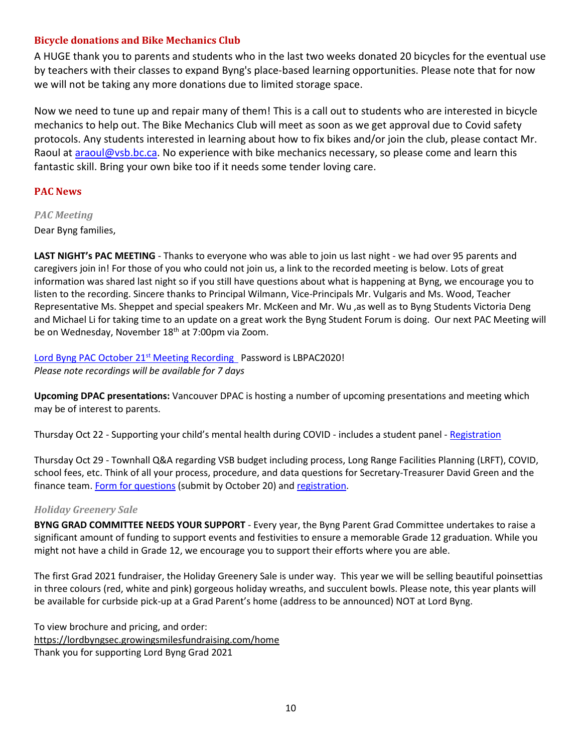## <span id="page-9-0"></span>**Bicycle donations and Bike Mechanics Club**

A HUGE thank you to parents and students who in the last two weeks donated 20 bicycles for the eventual use by teachers with their classes to expand Byng's place-based learning opportunities. Please note that for now we will not be taking any more donations due to limited storage space.

Now we need to tune up and repair many of them! This is a call out to students who are interested in bicycle mechanics to help out. The Bike Mechanics Club will meet as soon as we get approval due to Covid safety protocols. Any students interested in learning about how to fix bikes and/or join the club, please contact Mr. Raoul at [araoul@vsb.bc.ca.](mailto:araoul@vsb.bc.ca) No experience with bike mechanics necessary, so please come and learn this fantastic skill. Bring your own bike too if it needs some tender loving care.

## <span id="page-9-1"></span>**PAC News**

## <span id="page-9-2"></span>*PAC Meeting*

Dear Byng families,

**LAST NIGHT's PAC MEETING** - Thanks to everyone who was able to join us last night - we had over 95 parents and caregivers join in! For those of you who could not join us, a link to the recorded meeting is below. Lots of great information was shared last night so if you still have questions about what is happening at Byng, we encourage you to listen to the recording. Sincere thanks to Principal Wilmann, Vice-Principals Mr. Vulgaris and Ms. Wood, Teacher Representative Ms. Sheppet and special speakers Mr. McKeen and Mr. Wu ,as well as to Byng Students Victoria Deng and Michael Li for taking time to an update on a great work the Byng Student Forum is doing. Our next PAC Meeting will be on Wednesday, November 18<sup>th</sup> at 7:00pm via Zoom.

Lord Byng PAC October 21<sup>st</sup> Meeting Recording Password is LBPAC2020! *Please note recordings will be available for 7 days*

**Upcoming DPAC presentations:** Vancouver DPAC is hosting a number of upcoming presentations and meeting which may be of interest to parents.

Thursday Oct 22 - Supporting your child's mental health during COVID - includes a student panel - [Registration](https://us02web.zoom.us/meeting/register/tZIscuGvrDkqGtZowAWlgxAOqsAdpP1YE5D4)

Thursday Oct 29 - Townhall Q&A regarding VSB budget including process, Long Range Facilities Planning (LRFT), COVID, school fees, etc. Think of all your process, procedure, and data questions for Secretary-Treasurer David Green and the finance team. [Form for questions](https://docs.google.com/forms/d/e/1FAIpQLSdWtHE6mBnpF2TobxsBLAr9KkEnYQUsZWrbluiE7QMU4WeT4A/viewform) (submit by October 20) and [registration.](http://vancouverdpac.org/2020-2021-school-year)

## <span id="page-9-3"></span>*Holiday Greenery Sale*

**BYNG GRAD COMMITTEE NEEDS YOUR SUPPORT** - Every year, the Byng Parent Grad Committee undertakes to raise a significant amount of funding to support events and festivities to ensure a memorable Grade 12 graduation. While you might not have a child in Grade 12, we encourage you to support their efforts where you are able.

The first Grad 2021 fundraiser, the Holiday Greenery Sale is under way. This year we will be selling beautiful poinsettias in three colours (red, white and pink) gorgeous holiday wreaths, and succulent bowls. Please note, this year plants will be available for curbside pick-up at a Grad Parent's home (address to be announced) NOT at Lord Byng.

To view brochure and pricing, and order: <https://lordbyngsec.growingsmilesfundraising.com/home> Thank you for supporting Lord Byng Grad 2021